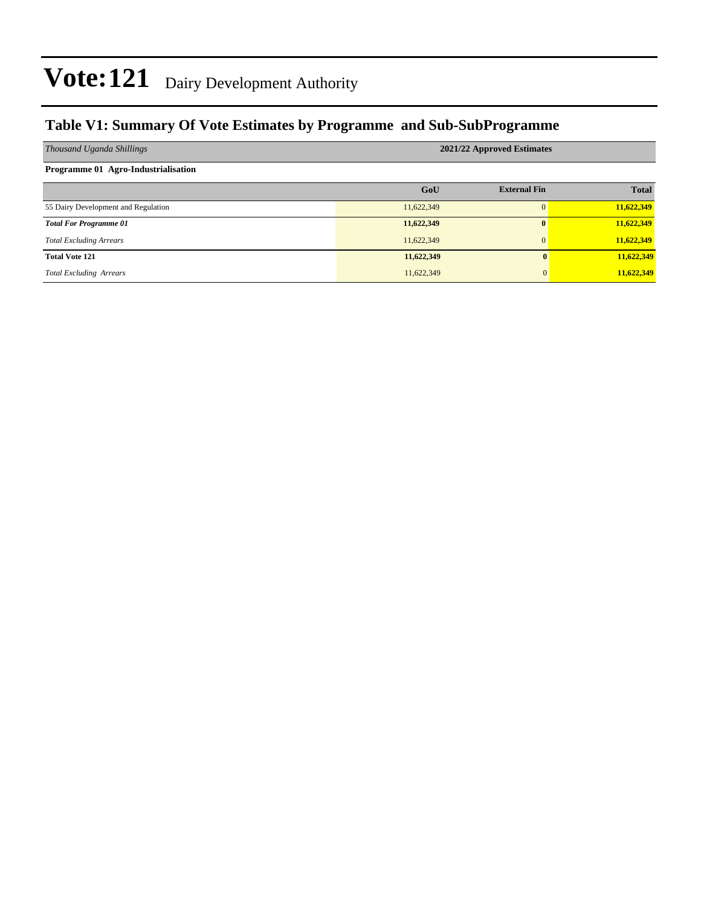### **Table V1: Summary Of Vote Estimates by Programme and Sub-SubProgramme**

| Thousand Uganda Shillings           | 2021/22 Approved Estimates |                     |              |  |  |  |
|-------------------------------------|----------------------------|---------------------|--------------|--|--|--|
| Programme 01 Agro-Industrialisation |                            |                     |              |  |  |  |
|                                     | GoU                        | <b>External Fin</b> | <b>Total</b> |  |  |  |
| 55 Dairy Development and Regulation | 11,622,349                 | $\Omega$            | 11,622,349   |  |  |  |
| <b>Total For Programme 01</b>       | 11,622,349                 | $\mathbf{0}$        | 11,622,349   |  |  |  |
| <b>Total Excluding Arrears</b>      | 11,622,349                 | $\overline{0}$      | 11,622,349   |  |  |  |
| <b>Total Vote 121</b>               | 11,622,349                 | $\mathbf{0}$        | 11,622,349   |  |  |  |
| <b>Total Excluding Arrears</b>      | 11,622,349                 | $\mathbf{0}$        | 11,622,349   |  |  |  |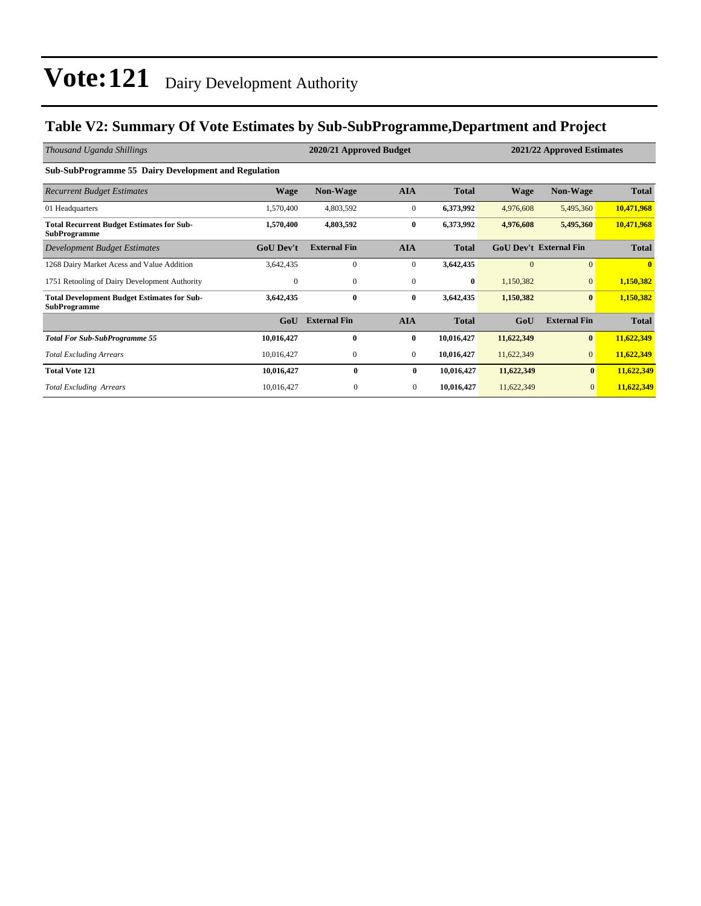### **Table V2: Summary Of Vote Estimates by Sub-SubProgramme,Department and Project**

| Thousand Uganda Shillings                                                 |                  | 2020/21 Approved Budget |                |              |                               |                     | 2021/22 Approved Estimates |  |
|---------------------------------------------------------------------------|------------------|-------------------------|----------------|--------------|-------------------------------|---------------------|----------------------------|--|
| <b>Sub-SubProgramme 55 Dairy Development and Regulation</b>               |                  |                         |                |              |                               |                     |                            |  |
| <b>Recurrent Budget Estimates</b>                                         | <b>Wage</b>      | <b>Non-Wage</b>         | <b>AIA</b>     | <b>Total</b> | <b>Wage</b>                   | <b>Non-Wage</b>     | <b>Total</b>               |  |
| 01 Headquarters                                                           | 1,570,400        | 4,803,592               | $\mathbf{0}$   | 6,373,992    | 4,976,608                     | 5,495,360           | 10,471,968                 |  |
| <b>Total Recurrent Budget Estimates for Sub-</b><br><b>SubProgramme</b>   | 1,570,400        | 4,803,592               | $\bf{0}$       | 6,373,992    | 4,976,608                     | 5,495,360           | 10,471,968                 |  |
| Development Budget Estimates                                              | <b>GoU Dev't</b> | <b>External Fin</b>     | <b>AIA</b>     | <b>Total</b> | <b>GoU Dev't External Fin</b> |                     | <b>Total</b>               |  |
| 1268 Dairy Market Acess and Value Addition                                | 3,642,435        | $\mathbf{0}$            | $\mathbf{0}$   | 3,642,435    | $\Omega$                      | $\Omega$            | $\mathbf{0}$               |  |
| 1751 Retooling of Dairy Development Authority                             | $\mathbf{0}$     | $\mathbf{0}$            | $\mathbf{0}$   | $\bf{0}$     | 1,150,382                     | $\mathbf{0}$        | 1,150,382                  |  |
| <b>Total Development Budget Estimates for Sub-</b><br><b>SubProgramme</b> | 3,642,435        | $\bf{0}$                | $\bf{0}$       | 3,642,435    | 1,150,382                     | $\bf{0}$            | 1,150,382                  |  |
|                                                                           | GoU              | <b>External Fin</b>     | <b>AIA</b>     | <b>Total</b> | GoU                           | <b>External Fin</b> | <b>Total</b>               |  |
| <b>Total For Sub-SubProgramme 55</b>                                      | 10,016,427       | $\bf{0}$                | $\bf{0}$       | 10,016,427   | 11,622,349                    | $\bf{0}$            | 11,622,349                 |  |
| <b>Total Excluding Arrears</b>                                            | 10,016,427       | $\mathbf{0}$            | $\mathbf{0}$   | 10,016,427   | 11,622,349                    | $\overline{0}$      | 11,622,349                 |  |
| <b>Total Vote 121</b>                                                     | 10,016,427       | $\bf{0}$                | $\bf{0}$       | 10,016,427   | 11,622,349                    | $\bf{0}$            | 11,622,349                 |  |
| <b>Total Excluding Arrears</b>                                            | 10,016,427       | $\mathbf{0}$            | $\overline{0}$ | 10,016,427   | 11,622,349                    | $\overline{0}$      | 11,622,349                 |  |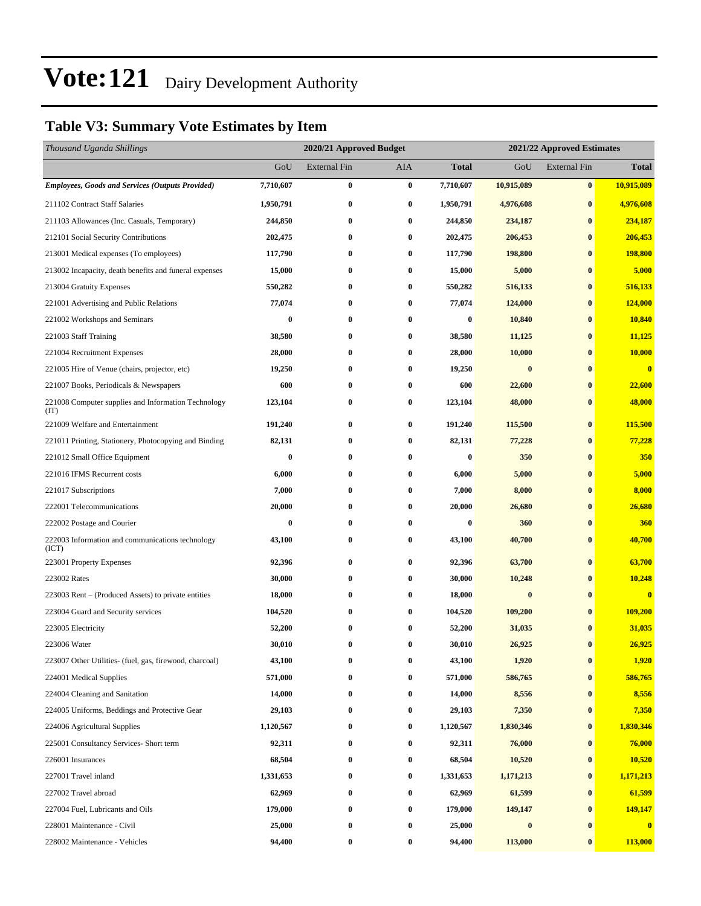### **Table V3: Summary Vote Estimates by Item**

| Thousand Uganda Shillings                                   |           | 2020/21 Approved Budget |          |              |            | 2021/22 Approved Estimates |                         |
|-------------------------------------------------------------|-----------|-------------------------|----------|--------------|------------|----------------------------|-------------------------|
|                                                             | GoU       | External Fin            | AIA      | <b>Total</b> | GoU        | <b>External Fin</b>        | <b>Total</b>            |
| <b>Employees, Goods and Services (Outputs Provided)</b>     | 7,710,607 | 0                       | $\bf{0}$ | 7,710,607    | 10,915,089 | $\bf{0}$                   | 10,915,089              |
| 211102 Contract Staff Salaries                              | 1,950,791 | 0                       | $\bf{0}$ | 1,950,791    | 4,976,608  | $\bf{0}$                   | 4,976,608               |
| 211103 Allowances (Inc. Casuals, Temporary)                 | 244,850   | 0                       | $\bf{0}$ | 244,850      | 234,187    | $\bf{0}$                   | 234,187                 |
| 212101 Social Security Contributions                        | 202,475   | 0                       | $\bf{0}$ | 202,475      | 206,453    | $\bf{0}$                   | 206,453                 |
| 213001 Medical expenses (To employees)                      | 117,790   | $\bf{0}$                | $\bf{0}$ | 117,790      | 198,800    | $\bf{0}$                   | 198,800                 |
| 213002 Incapacity, death benefits and funeral expenses      | 15,000    | 0                       | $\bf{0}$ | 15,000       | 5,000      | $\bf{0}$                   | 5,000                   |
| 213004 Gratuity Expenses                                    | 550,282   | 0                       | $\bf{0}$ | 550,282      | 516,133    | $\bf{0}$                   | 516,133                 |
| 221001 Advertising and Public Relations                     | 77,074    | $\bf{0}$                | $\bf{0}$ | 77,074       | 124,000    | $\bf{0}$                   | 124,000                 |
| 221002 Workshops and Seminars                               | $\bf{0}$  | 0                       | $\bf{0}$ | 0            | 10,840     | $\bf{0}$                   | 10,840                  |
| 221003 Staff Training                                       | 38,580    | $\bf{0}$                | $\bf{0}$ | 38,580       | 11,125     | $\bf{0}$                   | 11,125                  |
| 221004 Recruitment Expenses                                 | 28,000    | 0                       | $\bf{0}$ | 28,000       | 10,000     | $\bf{0}$                   | 10,000                  |
| 221005 Hire of Venue (chairs, projector, etc)               | 19,250    | 0                       | $\bf{0}$ | 19,250       | $\bf{0}$   | $\bf{0}$                   | $\bf{0}$                |
| 221007 Books, Periodicals & Newspapers                      | 600       | 0                       | $\bf{0}$ | 600          | 22,600     | $\bf{0}$                   | 22,600                  |
| 221008 Computer supplies and Information Technology<br>(TT) | 123,104   | 0                       | $\bf{0}$ | 123,104      | 48,000     | $\bf{0}$                   | 48,000                  |
| 221009 Welfare and Entertainment                            | 191,240   | 0                       | $\bf{0}$ | 191,240      | 115,500    | $\bf{0}$                   | 115,500                 |
| 221011 Printing, Stationery, Photocopying and Binding       | 82,131    | 0                       | $\bf{0}$ | 82,131       | 77,228     | $\bf{0}$                   | 77,228                  |
| 221012 Small Office Equipment                               | $\bf{0}$  | 0                       | $\bf{0}$ | 0            | 350        | $\bf{0}$                   | 350                     |
| 221016 IFMS Recurrent costs                                 | 6,000     | 0                       | $\bf{0}$ | 6,000        | 5,000      | $\bf{0}$                   | 5,000                   |
| 221017 Subscriptions                                        | 7,000     | 0                       | $\bf{0}$ | 7,000        | 8,000      | $\bf{0}$                   | 8,000                   |
| 222001 Telecommunications                                   | 20,000    | 0                       | $\bf{0}$ | 20,000       | 26,680     | $\bf{0}$                   | 26,680                  |
| 222002 Postage and Courier                                  | $\bf{0}$  | 0                       | $\bf{0}$ | 0            | 360        | $\bf{0}$                   | 360                     |
| 222003 Information and communications technology<br>(ICT)   | 43,100    | 0                       | $\bf{0}$ | 43,100       | 40,700     | $\bf{0}$                   | 40,700                  |
| 223001 Property Expenses                                    | 92,396    | 0                       | $\bf{0}$ | 92,396       | 63,700     | $\bf{0}$                   | 63,700                  |
| 223002 Rates                                                | 30,000    | 0                       | $\bf{0}$ | 30,000       | 10,248     | $\bf{0}$                   | 10,248                  |
| 223003 Rent – (Produced Assets) to private entities         | 18,000    | 0                       | $\bf{0}$ | 18,000       | $\bf{0}$   | $\bf{0}$                   | $\overline{\mathbf{0}}$ |
| 223004 Guard and Security services                          | 104,520   | 0                       | $\bf{0}$ | 104,520      | 109,200    | $\bf{0}$                   | 109,200                 |
| 223005 Electricity                                          | 52,200    | 0                       | $\bf{0}$ | 52,200       | 31,035     | $\bf{0}$                   | 31,035                  |
| 223006 Water                                                | 30,010    | 0                       | $\bf{0}$ | 30,010       | 26,925     | $\bf{0}$                   | 26,925                  |
| 223007 Other Utilities- (fuel, gas, firewood, charcoal)     | 43,100    | 0                       | $\bf{0}$ | 43,100       | 1,920      | $\bf{0}$                   | 1,920                   |
| 224001 Medical Supplies                                     | 571,000   | 0                       | $\bf{0}$ | 571,000      | 586,765    | $\bf{0}$                   | 586,765                 |
| 224004 Cleaning and Sanitation                              | 14,000    | 0                       | $\bf{0}$ | 14,000       | 8,556      | $\bf{0}$                   | 8,556                   |
| 224005 Uniforms, Beddings and Protective Gear               | 29,103    | 0                       | $\bf{0}$ | 29,103       | 7,350      | $\bf{0}$                   | 7,350                   |
| 224006 Agricultural Supplies                                | 1,120,567 | 0                       | $\bf{0}$ | 1,120,567    | 1,830,346  | $\bf{0}$                   | 1,830,346               |
| 225001 Consultancy Services- Short term                     | 92,311    | 0                       | $\bf{0}$ | 92,311       | 76,000     | $\bf{0}$                   | 76,000                  |
| 226001 Insurances                                           | 68,504    | 0                       | $\bf{0}$ | 68,504       | 10,520     | $\bf{0}$                   | 10,520                  |
| 227001 Travel inland                                        | 1,331,653 | 0                       | $\bf{0}$ | 1,331,653    | 1,171,213  | $\bf{0}$                   | 1,171,213               |
| 227002 Travel abroad                                        | 62,969    | 0                       | $\bf{0}$ | 62,969       | 61,599     | $\bf{0}$                   | 61,599                  |
| 227004 Fuel, Lubricants and Oils                            | 179,000   | 0                       | $\bf{0}$ | 179,000      | 149,147    | $\bf{0}$                   | 149,147                 |
| 228001 Maintenance - Civil                                  | 25,000    | 0                       | $\bf{0}$ | 25,000       | $\bf{0}$   | $\bf{0}$                   | $\bf{0}$                |
| 228002 Maintenance - Vehicles                               | 94,400    | 0                       | $\bf{0}$ | 94,400       | 113,000    | $\bf{0}$                   | 113,000                 |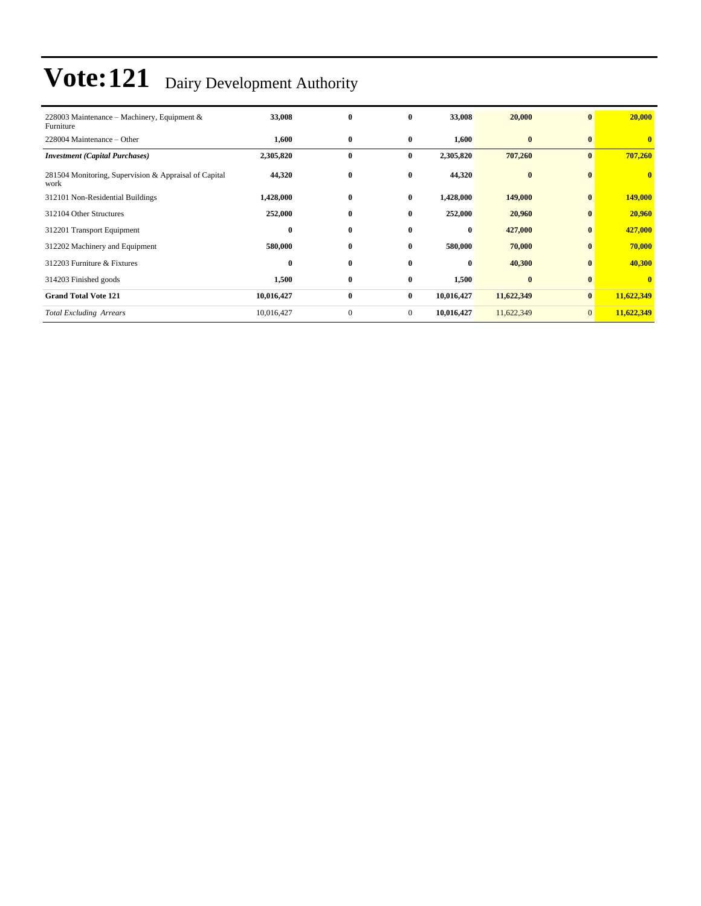| 228003 Maintenance – Machinery, Equipment &<br>Furniture      | 33,008           | $\bf{0}$     | $\mathbf{0}$   | 33,008     | 20,000     | $\bf{0}$        | 20,000     |
|---------------------------------------------------------------|------------------|--------------|----------------|------------|------------|-----------------|------------|
| 228004 Maintenance – Other                                    | 1,600            | $\bf{0}$     | $\bf{0}$       | 1,600      | $\bf{0}$   | $\mathbf{0}$    | $\bf{0}$   |
| <b>Investment</b> (Capital Purchases)                         | 2,305,820        | $\bf{0}$     | $\bf{0}$       | 2,305,820  | 707,260    | $\mathbf{0}$    | 707,260    |
| 281504 Monitoring, Supervision & Appraisal of Capital<br>work | 44,320           | $\bf{0}$     | $\bf{0}$       | 44,320     | $\bf{0}$   | $\mathbf{0}$    | $\bf{0}$   |
| 312101 Non-Residential Buildings                              | 1,428,000        | $\bf{0}$     | $\bf{0}$       | 1,428,000  | 149,000    | $\mathbf{0}$    | 149,000    |
| 312104 Other Structures                                       | 252,000          | $\bf{0}$     | $\bf{0}$       | 252,000    | 20,960     | $\bf{0}$        | 20,960     |
| 312201 Transport Equipment                                    | $\boldsymbol{0}$ | $\bf{0}$     | $\bf{0}$       | $\bf{0}$   | 427,000    | $\bf{0}$        | 427,000    |
| 312202 Machinery and Equipment                                | 580,000          | $\bf{0}$     | $\bf{0}$       | 580,000    | 70,000     | $\bf{0}$        | 70,000     |
| 312203 Furniture & Fixtures                                   | $\bf{0}$         | $\bf{0}$     | $\mathbf{0}$   | $\bf{0}$   | 40,300     | $\mathbf{0}$    | 40,300     |
| 314203 Finished goods                                         | 1,500            | $\bf{0}$     | $\bf{0}$       | 1,500      | $\bf{0}$   | $\bf{0}$        | $\bf{0}$   |
| <b>Grand Total Vote 121</b>                                   | 10,016,427       | $\bf{0}$     | $\bf{0}$       | 10,016,427 | 11,622,349 | $\mathbf{0}$    | 11,622,349 |
| <b>Total Excluding Arrears</b>                                | 10,016,427       | $\mathbf{0}$ | $\overline{0}$ | 10,016,427 | 11,622,349 | $\vert 0 \vert$ | 11,622,349 |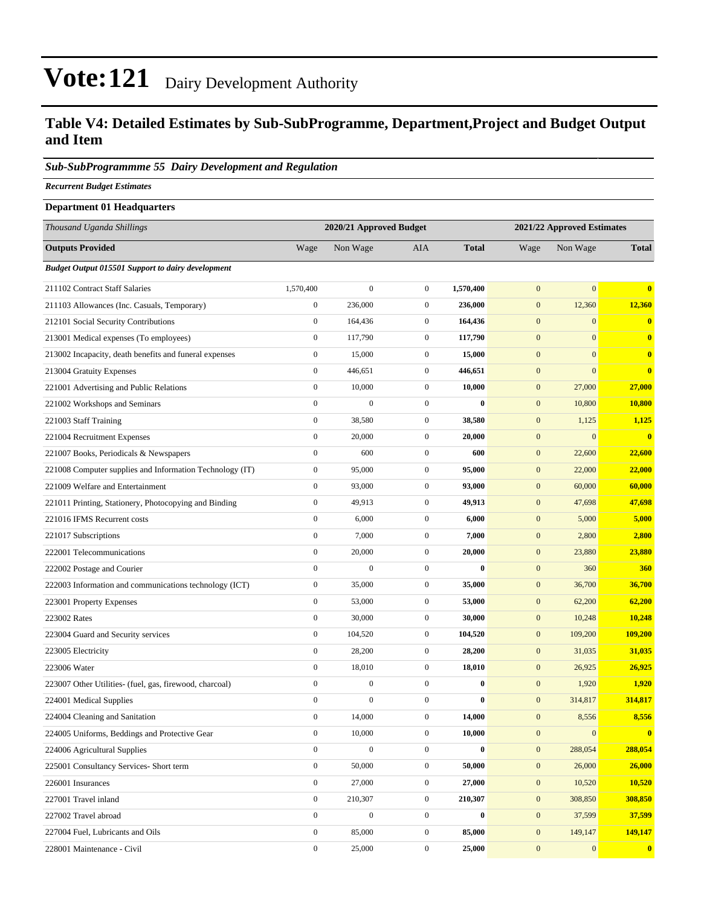### **Table V4: Detailed Estimates by Sub-SubProgramme, Department,Project and Budget Output and Item**

#### *Sub-SubProgrammme 55 Dairy Development and Regulation*

*Recurrent Budget Estimates*

### **Department 01 Headquarters** *Thousand Uganda Shillings* **2020/21 Approved Budget 2021/22 Approved Estimates Outputs Provided** Wage Non Wage AIA **Total** Wage Non Wage **Total** *Budget Output 015501 Support to dairy development* 211102 Contract Staff Salaries 1,570,400 0 0 **1,570,400** 0 0 **0** 211103 Allowances (Inc. Casuals, Temporary) 0 236,000 0 **236,000** 0 12,360 **12,360** 212101 Social Security Contributions 0 164,436 0 **164,436** 0 0 **0** 213001 Medical expenses (To employees) 0 117,790 0 **117,790** 0 0 **0** 213002 Incapacity, death benefits and funeral expenses 0 15,000 0 **15,000** 0 0 **0** 213004 Gratuity Expenses 0 446,651 0 **446,651** 0 0 **0** 221001 Advertising and Public Relations 0 10,000 0 **10,000** 0 27,000 **27,000** 221002 Workshops and Seminars 0 0 0 **0** 0 10,800 **10,800** 221003 Staff Training 0 38,580 0 **38,580** 0 1,125 **1,125** 221004 Recruitment Expenses 0 20,000 0 **20,000** 0 0 **0** 221007 Books, Periodicals & Newspapers 0 600 0 **600** 0 22,600 **22,600** 221008 Computer supplies and Information Technology (IT) 0 95,000 0 **95,000** 0 22,000 **22,000** 221009 Welfare and Entertainment 0 93,000 0 **93,000** 0 60,000 **60,000** 221011 Printing, Stationery, Photocopying and Binding 0 49,913 0 **49,913** 0 47,698 **47,698** 221016 IFMS Recurrent costs 0 6,000 0 **6,000** 0 5,000 **5,000** 221017 Subscriptions 0 7,000 0 **7,000** 0 2,800 **2,800** 222001 Telecommunications 0 20,000 0 **20,000** 0 23,880 **23,880** 222002 Postage and Courier 0 0 0 **0** 0 360 **360** 222003 Information and communications technology (ICT) 0 35,000 0 **35,000** 0 36,700 **36,700** 223001 Property Expenses 0 53,000 0 **53,000** 0 62,200 **62,200** 223002 Rates 0 30,000 0 **30,000** 0 10,248 **10,248** 223004 Guard and Security services 0 104,520 0 **104,520** 0 109,200 **109,200** 223005 Electricity 0 28,200 0 **28,200** 0 31,035 **31,035** 223006 Water 0 18,010 0 **18,010** 0 26,925 **26,925** 223007 Other Utilities- (fuel, gas, firewood, charcoal) 0 0 0 **0** 0 1,920 **1,920** 224001 Medical Supplies 0 0 0 **0** 0 314,817 **314,817** 224004 Cleaning and Sanitation 0 14,000 0 **14,000** 0 8,556 **8,556** 224005 Uniforms, Beddings and Protective Gear 0 10,000 0 **10,000** 0 0 **0** 224006 Agricultural Supplies 0 0 0 **0** 0 288,054 **288,054** 225001 Consultancy Services- Short term 0 50,000 0 **50,000** 0 26,000 **26,000** 226001 Insurances 0 27,000 0 **27,000** 0 10,520 **10,520** 227001 Travel inland 0 210,307 0 **210,307** 0 308,850 **308,850** 227002 Travel abroad 0 0 0 **0** 0 37,599 **37,599** 227004 Fuel, Lubricants and Oils 0 85,000 0 **85,000** 0 149,147 **149,147**

228001 Maintenance - Civil 0 25,000 0 **25,000** 0 0 **0**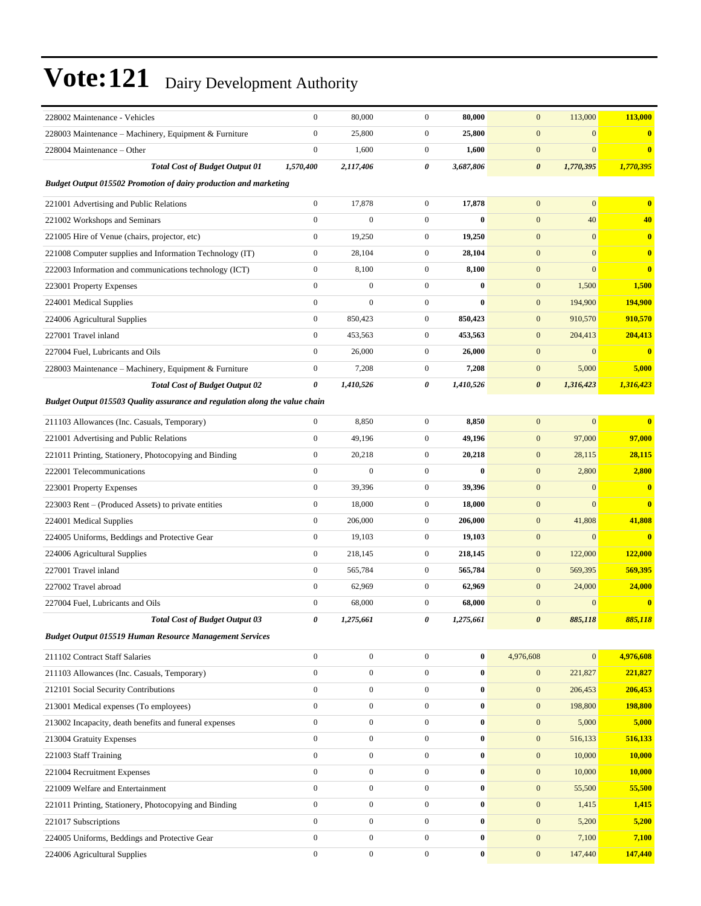| 228002 Maintenance - Vehicles                                               | $\boldsymbol{0}$ | 80,000           | $\boldsymbol{0}$ | 80,000    | $\mathbf{0}$          | 113,000        | 113,000       |
|-----------------------------------------------------------------------------|------------------|------------------|------------------|-----------|-----------------------|----------------|---------------|
| 228003 Maintenance – Machinery, Equipment & Furniture                       | $\boldsymbol{0}$ | 25,800           | $\mathbf{0}$     | 25,800    | $\mathbf{0}$          | $\mathbf{0}$   | $\bf{0}$      |
| 228004 Maintenance – Other                                                  | $\boldsymbol{0}$ | 1,600            | $\mathbf{0}$     | 1,600     | $\mathbf{0}$          | $\mathbf{0}$   | $\bf{0}$      |
| <b>Total Cost of Budget Output 01</b>                                       | 1,570,400        | 2,117,406        | 0                | 3,687,806 | $\boldsymbol{\theta}$ | 1,770,395      | 1,770,395     |
| <b>Budget Output 015502 Promotion of dairy production and marketing</b>     |                  |                  |                  |           |                       |                |               |
| 221001 Advertising and Public Relations                                     | $\boldsymbol{0}$ | 17,878           | $\mathbf{0}$     | 17,878    | $\mathbf{0}$          | $\mathbf{0}$   | $\bf{0}$      |
| 221002 Workshops and Seminars                                               | $\boldsymbol{0}$ | $\boldsymbol{0}$ | $\overline{0}$   | $\bf{0}$  | $\mathbf{0}$          | 40             | 40            |
| 221005 Hire of Venue (chairs, projector, etc)                               | $\boldsymbol{0}$ | 19,250           | $\overline{0}$   | 19,250    | $\mathbf{0}$          | $\mathbf{0}$   | $\bf{0}$      |
| 221008 Computer supplies and Information Technology (IT)                    | $\boldsymbol{0}$ | 28,104           | $\mathbf{0}$     | 28,104    | $\mathbf{0}$          | $\mathbf{0}$   | $\bf{0}$      |
| 222003 Information and communications technology (ICT)                      | $\boldsymbol{0}$ | 8,100            | $\mathbf{0}$     | 8,100     | $\mathbf{0}$          | $\mathbf{0}$   | $\bf{0}$      |
| 223001 Property Expenses                                                    | $\mathbf{0}$     | $\boldsymbol{0}$ | $\mathbf{0}$     | $\bf{0}$  | $\mathbf{0}$          | 1,500          | 1,500         |
| 224001 Medical Supplies                                                     | $\boldsymbol{0}$ | $\boldsymbol{0}$ | $\mathbf{0}$     | $\bf{0}$  | $\mathbf{0}$          | 194,900        | 194,900       |
| 224006 Agricultural Supplies                                                | $\boldsymbol{0}$ | 850,423          | $\mathbf{0}$     | 850,423   | $\mathbf{0}$          | 910,570        | 910,570       |
| 227001 Travel inland                                                        | $\boldsymbol{0}$ | 453,563          | $\mathbf{0}$     | 453,563   | $\mathbf{0}$          | 204,413        | 204,413       |
| 227004 Fuel, Lubricants and Oils                                            | $\boldsymbol{0}$ | 26,000           | $\mathbf{0}$     | 26,000    | $\mathbf{0}$          | $\mathbf{0}$   | $\bf{0}$      |
| 228003 Maintenance – Machinery, Equipment & Furniture                       | $\boldsymbol{0}$ | 7,208            | $\mathbf{0}$     | 7,208     | $\mathbf{0}$          | 5,000          | 5,000         |
| <b>Total Cost of Budget Output 02</b>                                       | 0                | 1,410,526        | 0                | 1,410,526 | $\boldsymbol{\theta}$ | 1,316,423      | 1,316,423     |
| Budget Output 015503 Quality assurance and regulation along the value chain |                  |                  |                  |           |                       |                |               |
| 211103 Allowances (Inc. Casuals, Temporary)                                 | $\boldsymbol{0}$ | 8,850            | $\overline{0}$   | 8,850     | $\mathbf{0}$          | $\mathbf{0}$   | $\bf{0}$      |
| 221001 Advertising and Public Relations                                     | $\boldsymbol{0}$ | 49,196           | $\mathbf{0}$     | 49,196    | $\mathbf{0}$          | 97,000         | 97,000        |
| 221011 Printing, Stationery, Photocopying and Binding                       | $\boldsymbol{0}$ | 20,218           | $\mathbf{0}$     | 20,218    | $\mathbf{0}$          | 28,115         | 28,115        |
| 222001 Telecommunications                                                   | $\mathbf{0}$     | $\overline{0}$   | $\mathbf{0}$     | $\bf{0}$  | $\mathbf{0}$          | 2,800          | 2,800         |
| 223001 Property Expenses                                                    | $\boldsymbol{0}$ | 39,396           | $\mathbf{0}$     | 39,396    | $\mathbf{0}$          | $\mathbf{0}$   | $\bf{0}$      |
| 223003 Rent – (Produced Assets) to private entities                         | $\boldsymbol{0}$ | 18,000           | $\mathbf{0}$     | 18,000    | $\boldsymbol{0}$      | $\overline{0}$ | $\bf{0}$      |
| 224001 Medical Supplies                                                     | $\boldsymbol{0}$ | 206,000          | $\mathbf{0}$     | 206,000   | $\mathbf{0}$          | 41,808         | 41,808        |
| 224005 Uniforms, Beddings and Protective Gear                               | $\boldsymbol{0}$ | 19,103           | $\mathbf{0}$     | 19,103    | $\mathbf{0}$          | $\mathbf{0}$   | $\bf{0}$      |
| 224006 Agricultural Supplies                                                | $\boldsymbol{0}$ | 218,145          | $\mathbf{0}$     | 218,145   | $\mathbf{0}$          | 122,000        | 122,000       |
| 227001 Travel inland                                                        | $\boldsymbol{0}$ | 565,784          | $\mathbf{0}$     | 565,784   | $\mathbf{0}$          | 569,395        | 569,395       |
| 227002 Travel abroad                                                        | $\mathbf{0}$     | 62,969           | $\mathbf{0}$     | 62,969    | $\mathbf{0}$          | 24,000         | <b>24,000</b> |
| 227004 Fuel, Lubricants and Oils                                            | $\boldsymbol{0}$ | 68,000           | $\mathbf{0}$     | 68,000    | $\mathbf{0}$          | $\mathbf{0}$   | $\bf{0}$      |
| <b>Total Cost of Budget Output 03</b>                                       | 0                | 1,275,661        | 0                | 1,275,661 | $\boldsymbol{\theta}$ | 885,118        | 885,118       |
| <b>Budget Output 015519 Human Resource Management Services</b>              |                  |                  |                  |           |                       |                |               |
| 211102 Contract Staff Salaries                                              | $\mathbf{0}$     | $\boldsymbol{0}$ | $\overline{0}$   | $\bf{0}$  | 4,976,608             | $\mathbf{0}$   | 4,976,608     |
| 211103 Allowances (Inc. Casuals, Temporary)                                 | $\boldsymbol{0}$ | $\boldsymbol{0}$ | $\overline{0}$   | $\bf{0}$  | $\mathbf{0}$          | 221,827        | 221,827       |
| 212101 Social Security Contributions                                        | $\boldsymbol{0}$ | $\boldsymbol{0}$ | $\overline{0}$   | $\bf{0}$  | $\boldsymbol{0}$      | 206,453        | 206,453       |
| 213001 Medical expenses (To employees)                                      | $\boldsymbol{0}$ | $\boldsymbol{0}$ | $\overline{0}$   | $\bf{0}$  | $\mathbf{0}$          | 198,800        | 198,800       |
| 213002 Incapacity, death benefits and funeral expenses                      | $\boldsymbol{0}$ | $\boldsymbol{0}$ | $\overline{0}$   | $\bf{0}$  | $\mathbf{0}$          | 5,000          | 5,000         |
| 213004 Gratuity Expenses                                                    | $\boldsymbol{0}$ | $\boldsymbol{0}$ | $\overline{0}$   | $\bf{0}$  | $\mathbf{0}$          | 516,133        | 516,133       |
| 221003 Staff Training                                                       | $\boldsymbol{0}$ | $\boldsymbol{0}$ | $\mathbf{0}$     | $\bf{0}$  | $\mathbf{0}$          | 10,000         | 10,000        |
| 221004 Recruitment Expenses                                                 | $\boldsymbol{0}$ | $\boldsymbol{0}$ | $\boldsymbol{0}$ | $\bf{0}$  | $\mathbf{0}$          | 10,000         | 10,000        |
| 221009 Welfare and Entertainment                                            | $\boldsymbol{0}$ | $\boldsymbol{0}$ | $\boldsymbol{0}$ | $\bf{0}$  | $\mathbf{0}$          | 55,500         | 55,500        |
| 221011 Printing, Stationery, Photocopying and Binding                       | $\boldsymbol{0}$ | $\boldsymbol{0}$ | $\overline{0}$   | $\bf{0}$  | $\mathbf{0}$          | 1,415          | 1,415         |
| 221017 Subscriptions                                                        | $\boldsymbol{0}$ | $\boldsymbol{0}$ | $\overline{0}$   | $\bf{0}$  | $\mathbf{0}$          | 5,200          | 5,200         |
| 224005 Uniforms, Beddings and Protective Gear                               | $\boldsymbol{0}$ | $\boldsymbol{0}$ | $\mathbf{0}$     | $\bf{0}$  | $\mathbf{0}$          | 7,100          | 7,100         |
| 224006 Agricultural Supplies                                                | $\boldsymbol{0}$ | $\boldsymbol{0}$ | $\boldsymbol{0}$ | $\bf{0}$  | $\mathbf{0}$          | 147,440        | 147,440       |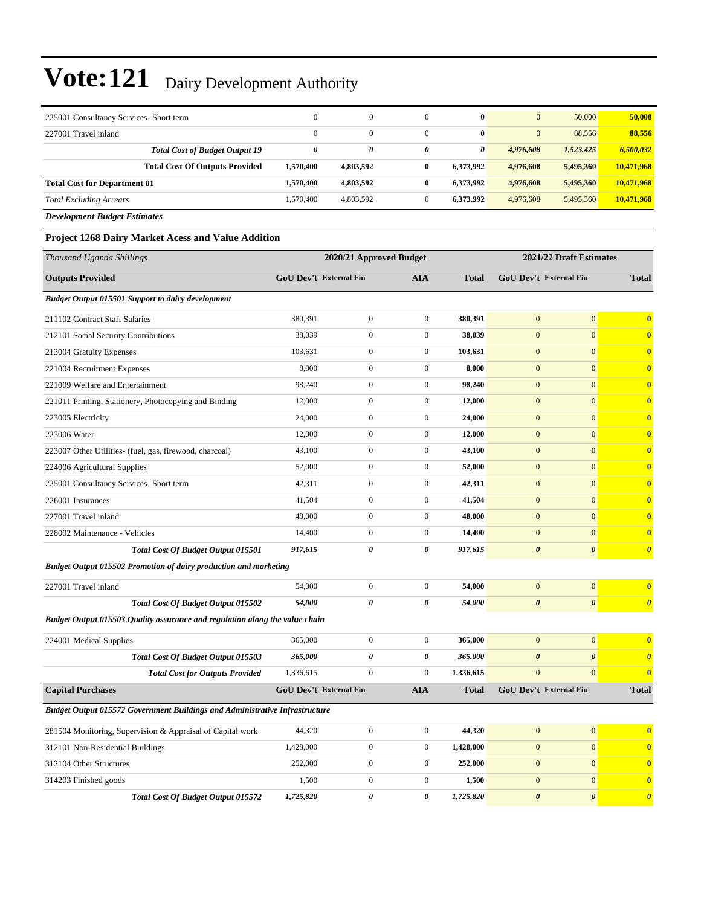| 225001 Consultancy Services- Short term                 |                                       | $\Omega$     | $\mathbf{0}$ |   | $\bf{0}$  | $\mathbf{0}$ | 50,000    | 50,000     |
|---------------------------------------------------------|---------------------------------------|--------------|--------------|---|-----------|--------------|-----------|------------|
| 227001 Travel inland                                    |                                       | $\mathbf{0}$ | $\mathbf{0}$ |   | $\bf{0}$  | $\mathbf{0}$ | 88.556    | 88,556     |
|                                                         | <b>Total Cost of Budget Output 19</b> | 0            | 0            | 0 | 0         | 4,976,608    | 1,523,425 | 6,500,032  |
|                                                         | <b>Total Cost Of Outputs Provided</b> | 1,570,400    | 4.803.592    |   | 6.373.992 | 4.976.608    | 5,495,360 | 10.471.968 |
| <b>Total Cost for Department 01</b>                     |                                       | 1,570,400    | 4,803,592    |   | 6.373.992 | 4.976.608    | 5,495,360 | 10,471,968 |
| <b>Total Excluding Arrears</b>                          |                                       | 1.570.400    | 4,803,592    |   | 6.373.992 | 4,976,608    | 5,495,360 | 10,471,968 |
| $D_{\text{max}}$ <i>Lemma and Davison Davison at an</i> |                                       |              |              |   |           |              |           |            |

*Development Budget Estimates*

#### **Project 1268 Dairy Market Acess and Value Addition**

| Thousand Uganda Shillings                                                          |                               | 2020/21 Approved Budget |                       |              |                               | 2021/22 Draft Estimates |                         |
|------------------------------------------------------------------------------------|-------------------------------|-------------------------|-----------------------|--------------|-------------------------------|-------------------------|-------------------------|
| <b>Outputs Provided</b>                                                            | GoU Dev't External Fin        |                         | <b>AIA</b>            | <b>Total</b> | GoU Dev't External Fin        |                         | <b>Total</b>            |
| <b>Budget Output 015501 Support to dairy development</b>                           |                               |                         |                       |              |                               |                         |                         |
| 211102 Contract Staff Salaries                                                     | 380,391                       | $\overline{0}$          | $\mathbf{0}$          | 380,391      | $\overline{0}$                | $\overline{0}$          | $\overline{\mathbf{0}}$ |
| 212101 Social Security Contributions                                               | 38.039                        | $\overline{0}$          | $\mathbf{0}$          | 38.039       | $\mathbf{0}$                  | $\mathbf{0}$            | $\overline{\mathbf{0}}$ |
| 213004 Gratuity Expenses                                                           | 103,631                       | $\boldsymbol{0}$        | $\boldsymbol{0}$      | 103,631      | $\mathbf{0}$                  | $\mathbf{0}$            | $\mathbf{0}$            |
| 221004 Recruitment Expenses                                                        | 8,000                         | $\boldsymbol{0}$        | $\boldsymbol{0}$      | 8,000        | $\mathbf{0}$                  | $\overline{0}$          | $\overline{\mathbf{0}}$ |
| 221009 Welfare and Entertainment                                                   | 98,240                        | $\boldsymbol{0}$        | $\boldsymbol{0}$      | 98,240       | $\mathbf{0}$                  | $\mathbf{0}$            | $\mathbf{0}$            |
| 221011 Printing, Stationery, Photocopying and Binding                              | 12,000                        | $\boldsymbol{0}$        | $\boldsymbol{0}$      | 12,000       | $\mathbf{0}$                  | $\mathbf{0}$            | $\mathbf{0}$            |
| 223005 Electricity                                                                 | 24,000                        | $\overline{0}$          | $\mathbf{0}$          | 24,000       | $\mathbf{0}$                  | $\mathbf{0}$            | $\overline{\mathbf{0}}$ |
| 223006 Water                                                                       | 12,000                        | $\overline{0}$          | $\boldsymbol{0}$      | 12,000       | $\mathbf{0}$                  | $\mathbf{0}$            | $\overline{\mathbf{0}}$ |
| 223007 Other Utilities- (fuel, gas, firewood, charcoal)                            | 43,100                        | $\mathbf{0}$            | $\boldsymbol{0}$      | 43,100       | $\mathbf{0}$                  | $\overline{0}$          | $\overline{\mathbf{0}}$ |
| 224006 Agricultural Supplies                                                       | 52,000                        | $\boldsymbol{0}$        | $\boldsymbol{0}$      | 52,000       | $\boldsymbol{0}$              | $\overline{0}$          | $\mathbf{0}$            |
| 225001 Consultancy Services- Short term                                            | 42,311                        | $\boldsymbol{0}$        | $\boldsymbol{0}$      | 42,311       | $\boldsymbol{0}$              | $\mathbf{0}$            | $\bf{0}$                |
| 226001 Insurances                                                                  | 41,504                        | $\boldsymbol{0}$        | $\boldsymbol{0}$      | 41,504       | $\boldsymbol{0}$              | $\boldsymbol{0}$        | $\bf{0}$                |
| 227001 Travel inland                                                               | 48,000                        | $\overline{0}$          | $\boldsymbol{0}$      | 48,000       | $\overline{0}$                | $\overline{0}$          | $\overline{\mathbf{0}}$ |
| 228002 Maintenance - Vehicles                                                      | 14,400                        | $\boldsymbol{0}$        | $\boldsymbol{0}$      | 14,400       | $\overline{0}$                | $\overline{0}$          | $\overline{\mathbf{0}}$ |
| <b>Total Cost Of Budget Output 015501</b>                                          | 917,615                       | $\theta$                | $\pmb{\theta}$        | 917,615      | $\boldsymbol{\theta}$         | $\boldsymbol{\theta}$   | $\boldsymbol{\theta}$   |
| <b>Budget Output 015502 Promotion of dairy production and marketing</b>            |                               |                         |                       |              |                               |                         |                         |
| 227001 Travel inland                                                               | 54,000                        | $\boldsymbol{0}$        | $\boldsymbol{0}$      | 54,000       | $\overline{0}$                | $\mathbf{0}$            | $\mathbf{0}$            |
| <b>Total Cost Of Budget Output 015502</b>                                          | 54,000                        | 0                       | $\pmb{\theta}$        | 54,000       | $\boldsymbol{\theta}$         | $\pmb{\theta}$          | $\boldsymbol{\theta}$   |
| Budget Output 015503 Quality assurance and regulation along the value chain        |                               |                         |                       |              |                               |                         |                         |
| 224001 Medical Supplies                                                            | 365,000                       | $\mathbf{0}$            | $\mathbf{0}$          | 365,000      | $\mathbf{0}$                  | $\mathbf{0}$            | $\overline{\mathbf{0}}$ |
| Total Cost Of Budget Output 015503                                                 | 365,000                       | 0                       | $\boldsymbol{\theta}$ | 365,000      | $\boldsymbol{\theta}$         | $\boldsymbol{\theta}$   | $\boldsymbol{\theta}$   |
| <b>Total Cost for Outputs Provided</b>                                             | 1,336,615                     | $\overline{0}$          | $\mathbf{0}$          | 1,336,615    | $\overline{0}$                | $\overline{0}$          | $\bf{0}$                |
| <b>Capital Purchases</b>                                                           | <b>GoU Dev't External Fin</b> |                         | <b>AIA</b>            | <b>Total</b> | <b>GoU Dev't External Fin</b> |                         | <b>Total</b>            |
| <b>Budget Output 015572 Government Buildings and Administrative Infrastructure</b> |                               |                         |                       |              |                               |                         |                         |
| 281504 Monitoring, Supervision & Appraisal of Capital work                         | 44,320                        | $\boldsymbol{0}$        | $\boldsymbol{0}$      | 44,320       | $\mathbf{0}$                  | $\mathbf{0}$            | $\bf{0}$                |
| 312101 Non-Residential Buildings                                                   | 1,428,000                     | $\mathbf{0}$            | $\boldsymbol{0}$      | 1,428,000    | $\boldsymbol{0}$              | $\mathbf{0}$            | $\overline{\mathbf{0}}$ |
| 312104 Other Structures                                                            | 252,000                       | $\overline{0}$          | $\boldsymbol{0}$      | 252,000      | $\boldsymbol{0}$              | $\overline{0}$          | $\bf{0}$                |
| 314203 Finished goods                                                              | 1,500                         | $\overline{0}$          | $\boldsymbol{0}$      | 1,500        | $\boldsymbol{0}$              | $\overline{0}$          | $\overline{\mathbf{0}}$ |
| <b>Total Cost Of Budget Output 015572</b>                                          | 1,725,820                     | $\theta$                | 0                     | 1,725,820    | $\boldsymbol{\theta}$         | $\boldsymbol{\theta}$   | $\boldsymbol{\theta}$   |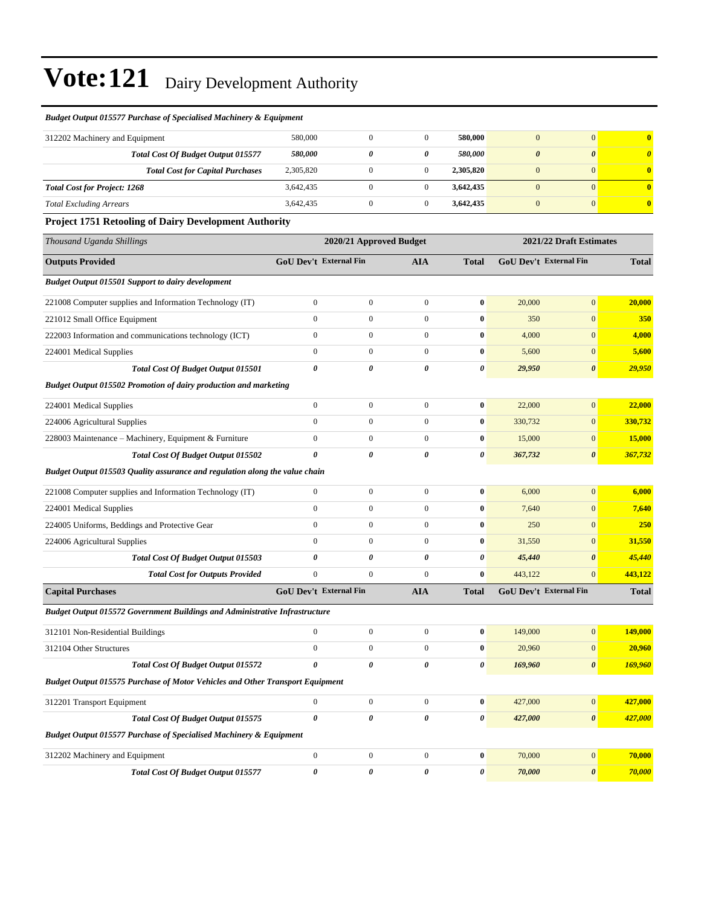| Budget Output 015577 Purchase of Specialised Machinery & Equipment            |                  |                               |                  |              |                       |                               |                         |
|-------------------------------------------------------------------------------|------------------|-------------------------------|------------------|--------------|-----------------------|-------------------------------|-------------------------|
| 312202 Machinery and Equipment                                                | 580,000          | $\boldsymbol{0}$              | $\mathbf{0}$     | 580,000      | $\mathbf{0}$          | $\mathbf{0}$                  | $\overline{\mathbf{0}}$ |
| Total Cost Of Budget Output 015577                                            | 580,000          | 0                             | 0                | 580,000      | $\boldsymbol{\theta}$ | $\boldsymbol{\theta}$         | $\boldsymbol{\theta}$   |
| <b>Total Cost for Capital Purchases</b>                                       | 2,305,820        | $\boldsymbol{0}$              | $\mathbf{0}$     | 2,305,820    | $\mathbf{0}$          | $\mathbf{0}$                  | $\bf{0}$                |
| <b>Total Cost for Project: 1268</b>                                           | 3,642,435        | $\boldsymbol{0}$              | $\boldsymbol{0}$ | 3,642,435    | $\mathbf{0}$          | $\overline{0}$                | $\bf{0}$                |
| <b>Total Excluding Arrears</b>                                                | 3,642,435        | $\boldsymbol{0}$              | $\boldsymbol{0}$ | 3,642,435    | $\boldsymbol{0}$      | $\mathbf{0}$                  | $\bf{0}$                |
| <b>Project 1751 Retooling of Dairy Development Authority</b>                  |                  |                               |                  |              |                       |                               |                         |
| Thousand Uganda Shillings                                                     |                  | 2020/21 Approved Budget       |                  |              |                       | 2021/22 Draft Estimates       |                         |
| <b>Outputs Provided</b>                                                       |                  | <b>GoU Dev't External Fin</b> | <b>AIA</b>       | <b>Total</b> |                       | <b>GoU Dev't External Fin</b> | <b>Total</b>            |
| <b>Budget Output 015501 Support to dairy development</b>                      |                  |                               |                  |              |                       |                               |                         |
| 221008 Computer supplies and Information Technology (IT)                      | $\overline{0}$   | $\boldsymbol{0}$              | $\mathbf{0}$     | $\bf{0}$     | 20,000                | $\mathbf{0}$                  | 20,000                  |
| 221012 Small Office Equipment                                                 | $\overline{0}$   | $\boldsymbol{0}$              | $\mathbf{0}$     | $\bf{0}$     | 350                   | $\mathbf{0}$                  | 350                     |
| 222003 Information and communications technology (ICT)                        | $\overline{0}$   | $\boldsymbol{0}$              | $\mathbf{0}$     | $\bf{0}$     | 4,000                 | $\overline{0}$                | 4,000                   |
| 224001 Medical Supplies                                                       | $\overline{0}$   | $\boldsymbol{0}$              | $\boldsymbol{0}$ | $\bf{0}$     | 5,600                 | $\boldsymbol{0}$              | 5,600                   |
| <b>Total Cost Of Budget Output 015501</b>                                     | 0                | 0                             | 0                | 0            | 29,950                | $\boldsymbol{\theta}$         | 29,950                  |
| <b>Budget Output 015502 Promotion of dairy production and marketing</b>       |                  |                               |                  |              |                       |                               |                         |
| 224001 Medical Supplies                                                       | $\overline{0}$   | $\boldsymbol{0}$              | $\mathbf{0}$     | $\bf{0}$     | 22,000                | $\mathbf{0}$                  | 22,000                  |
| 224006 Agricultural Supplies                                                  | $\overline{0}$   | $\boldsymbol{0}$              | $\mathbf{0}$     | $\bf{0}$     | 330,732               | $\mathbf{0}$                  | 330,732                 |
| 228003 Maintenance - Machinery, Equipment & Furniture                         | $\overline{0}$   | $\overline{0}$                | $\mathbf{0}$     | $\bf{0}$     | 15,000                | $\overline{0}$                | 15,000                  |
| Total Cost Of Budget Output 015502                                            | 0                | 0                             | 0                | 0            | 367,732               | $\boldsymbol{\theta}$         | 367,732                 |
| Budget Output 015503 Quality assurance and regulation along the value chain   |                  |                               |                  |              |                       |                               |                         |
| 221008 Computer supplies and Information Technology (IT)                      | $\overline{0}$   | $\boldsymbol{0}$              | $\boldsymbol{0}$ | $\bf{0}$     | 6,000                 | $\mathbf{0}$                  | 6,000                   |
| 224001 Medical Supplies                                                       | $\overline{0}$   | $\boldsymbol{0}$              | $\boldsymbol{0}$ | $\bf{0}$     | 7,640                 | $\mathbf{0}$                  | 7,640                   |
| 224005 Uniforms, Beddings and Protective Gear                                 | $\overline{0}$   | $\boldsymbol{0}$              | $\boldsymbol{0}$ | $\bf{0}$     | 250                   | $\overline{0}$                | <b>250</b>              |
| 224006 Agricultural Supplies                                                  | $\overline{0}$   | $\boldsymbol{0}$              | $\boldsymbol{0}$ | $\bf{0}$     | 31,550                | $\overline{0}$                | 31,550                  |
| Total Cost Of Budget Output 015503                                            | 0                | 0                             | 0                | 0            | 45,440                | $\boldsymbol{\theta}$         | 45,440                  |
| <b>Total Cost for Outputs Provided</b>                                        | $\mathbf{0}$     | $\boldsymbol{0}$              | $\mathbf{0}$     | $\bf{0}$     | 443,122               | $\mathbf{0}$                  | 443,122                 |
| <b>Capital Purchases</b>                                                      |                  | <b>GoU Dev't External Fin</b> | <b>AIA</b>       | <b>Total</b> |                       | <b>GoU Dev't External Fin</b> | <b>Total</b>            |
| Budget Output 015572 Government Buildings and Administrative Infrastructure   |                  |                               |                  |              |                       |                               |                         |
| 312101 Non-Residential Buildings                                              | $\boldsymbol{0}$ | $\boldsymbol{0}$              | $\boldsymbol{0}$ | $\bf{0}$     | 149,000               | $\bf{0}$                      | <b>149,000</b>          |
| 312104 Other Structures                                                       | $\overline{0}$   | $\boldsymbol{0}$              | $\boldsymbol{0}$ | $\bf{0}$     | 20,960                | $\mathbf{0}$                  | 20,960                  |
| <b>Total Cost Of Budget Output 015572</b>                                     | 0                | 0                             | 0                | 0            | 169,960               | $\boldsymbol{\theta}$         | 169,960                 |
| Budget Output 015575 Purchase of Motor Vehicles and Other Transport Equipment |                  |                               |                  |              |                       |                               |                         |
| 312201 Transport Equipment                                                    | $\overline{0}$   | $\boldsymbol{0}$              | $\mathbf{0}$     | $\bf{0}$     | 427,000               | $\boldsymbol{0}$              | 427,000                 |
| Total Cost Of Budget Output 015575                                            | 0                | 0                             | 0                | 0            | 427,000               | $\boldsymbol{\theta}$         | 427,000                 |
| <b>Budget Output 015577 Purchase of Specialised Machinery &amp; Equipment</b> |                  |                               |                  |              |                       |                               |                         |
| 312202 Machinery and Equipment                                                | $\mathbf{0}$     | $\boldsymbol{0}$              | $\boldsymbol{0}$ | $\bf{0}$     | 70,000                | $\boldsymbol{0}$              | 70,000                  |
| Total Cost Of Budget Output 015577                                            | 0                | 0                             | 0                | 0            | 70,000                | 0                             | 70,000                  |